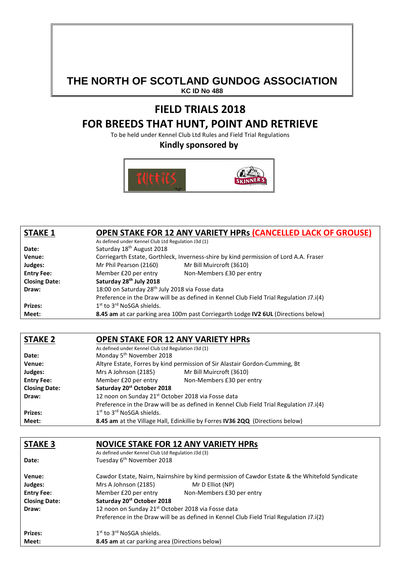# **THE NORTH OF SCOTLAND GUNDOG ASSOCIATION**

**KC ID No 488** 

## **FIELD TRIALS 2018 FOR BREEDS THAT HUNT, POINT AND RETRIEVE**

To be held under Kennel Club Ltd Rules and Field Trial Regulations

**Kindly sponsored by** 



| <b>STAKE 1</b>       | <b>OPEN STAKE FOR 12 ANY VARIETY HPRS (CANCELLED LACK OF GROUSE)</b>                    |
|----------------------|-----------------------------------------------------------------------------------------|
|                      | As defined under Kennel Club Ltd Regulation J3d (1)                                     |
| Date:                | Saturday 18 <sup>th</sup> August 2018                                                   |
| Venue:               | Corriegarth Estate, Gorthleck, Inverness-shire by kind permission of Lord A.A. Fraser   |
| Judges:              | Mr Phil Pearson (2160)<br>Mr Bill Muircroft (3610)                                      |
| <b>Entry Fee:</b>    | Non-Members £30 per entry<br>Member £20 per entry                                       |
| <b>Closing Date:</b> | Saturday 28th July 2018                                                                 |
| Draw:                | 18:00 on Saturday 28 <sup>th</sup> July 2018 via Fosse data                             |
|                      | Preference in the Draw will be as defined in Kennel Club Field Trial Regulation J7.i(4) |
| <b>Prizes:</b>       | 1 <sup>st</sup> to 3 <sup>rd</sup> NoSGA shields.                                       |
| Meet:                | 8.45 am at car parking area 100m past Corriegarth Lodge IV2 6UL (Directions below)      |

#### **STAKE 2 OPEN STAKE FOR 12 ANY VARIETY HPRs**  As defined under Kennel Club Ltd Regulation J3d (1) **Date:** Monday 5<sup>th</sup> November 2018 **Venue:** Altyre Estate, Forres by kind permission of Sir Alastair Gordon-Cumming, Bt **Judges:** Mrs A Johnson (2185) Mr Bill Muircroft (3610) **Entry Fee:** Member £20 per entry Non-Members £30 per entry **Closing Date: Saturday 20st October 2018 Draw:** 12 noon on Sunday 21<sup>st</sup> October 2018 via Fosse data Preference in the Draw will be as defined in Kennel Club Field Trial Regulation J7.i(4) **Prizes:** 1st to 3<sup>rd</sup> NoSGA shields.

**Meet: 8.45 am** at the Village Hall, Edinkillie by Forres **IV36 2QQ** (Directions below)

| <b>STAKE 3</b>       | <b>NOVICE STAKE FOR 12 ANY VARIETY HPRS</b>                                                    |
|----------------------|------------------------------------------------------------------------------------------------|
|                      | As defined under Kennel Club Ltd Regulation J3d (3)                                            |
| Date:                | Tuesday 6 <sup>th</sup> November 2018                                                          |
| Venue:               | Cawdor Estate, Nairn, Nairnshire by kind permission of Cawdor Estate & the Whitefold Syndicate |
| Judges:              | Mr D Elliot (NP)<br>Mrs A Johnson (2185)                                                       |
| <b>Entry Fee:</b>    | Member £20 per entry<br>Non-Members £30 per entry                                              |
| <b>Closing Date:</b> | Saturday 20 <sup>st</sup> October 2018                                                         |
| Draw:                | 12 noon on Sunday 21 <sup>st</sup> October 2018 via Fosse data                                 |
|                      | Preference in the Draw will be as defined in Kennel Club Field Trial Regulation J7.i(2)        |
| <b>Prizes:</b>       | $1st$ to $3rd$ NoSGA shields.                                                                  |
| Meet:                | 8.45 am at car parking area (Directions below)                                                 |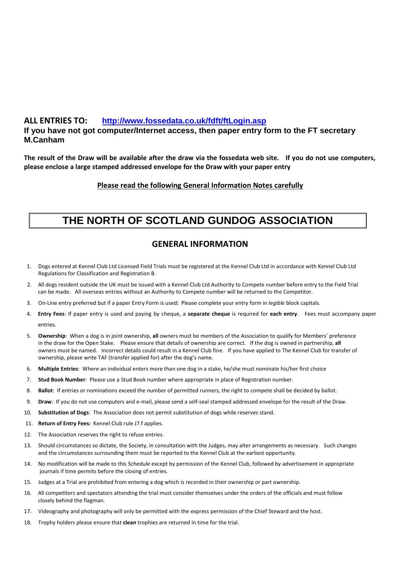#### **ALL ENTRIES TO: http://www.fossedata.co.uk/fdft/ftLogin.asp**

#### **If you have not got computer/Internet access, then paper entry form to the FT secretary M.Canham**

**The result of the Draw will be available after the draw via the fossedata web site. If you do not use computers, please enclose a large stamped addressed envelope for the Draw with your paper entry** 

#### **Please read the following General Information Notes carefully**

## **THE NORTH OF SCOTLAND GUNDOG ASSOCIATION**

### **GENERAL INFORMATION**

- 1. Dogs entered at Kennel Club Ltd Licensed Field Trials must be registered at the Kennel Club Ltd in accordance with Kennel Club Ltd Regulations for Classification and Registration B.
- 2. All dogs resident outside the UK must be issued with a Kennel Club Ltd Authority to Compete number before entry to the Field Trial can be made. All overseas entries without an Authority to Compete number will be returned to the Competitor.
- 3. On-Line entry preferred but if a paper Entry Form is used**:** Please complete your entry form in *legible* block capitals.
- 4. **Entry Fees**: If paper entry is used and paying by cheque, a **separate cheque** is required for **each entry**. Fees must accompany paper entries.
- 5. **Ownership**: When a dog is in joint ownership, **all** owners must be members of the Association to qualify for Members' preference in the draw for the Open Stake. Please ensure that details of ownership are correct. If the dog is owned in partnership, **all**  owners must be named. Incorrect details could result in a Kennel Club fine. If you have applied to The Kennel Club for transfer of ownership, please write TAF (transfer applied for) after the dog's name.
- 6. **Multiple Entries**: Where an individual enters more than one dog in a stake, he/she must nominate his/her first choice
- 7. **Stud Book Number**: Please use a Stud Book number where appropriate in place of Registration number.
- 8. **Ballot**: If entries or nominations exceed the number of permitted runners, the right to compete shall be decided by ballot.
- 9. **Draw**: If you do not use computers and e-mail, please send a self-seal stamped addressed envelope for the result of the Draw.
- 10. **Substitution of Dogs**: The Association does not permit substitution of dogs while reserves stand.
- 11. **Return of Entry Fees:** Kennel Club rule J7.f applies.
- 12. The Association reserves the right to refuse entries.
- 13. Should circumstances so dictate, the Society, in consultation with the Judges, may alter arrangements as necessary. Such changes and the circumstances surrounding them must be reported to the Kennel Club at the earliest opportunity.
- 14. No modification will be made to this Schedule except by permission of the Kennel Club, followed by advertisement in appropriate journals if time permits before the closing of entries.
- 15. Judges at a Trial are prohibited from entering a dog which is recorded in their ownership or part ownership.
- 16. All competitors and spectators attending the trial must consider themselves under the orders of the officials and must follow closely behind the flagman.
- 17. Videography and photography will only be permitted with the express permission of the Chief Steward and the host.
- 18. Trophy holders please ensure that **clean** trophies are returned in time for the trial.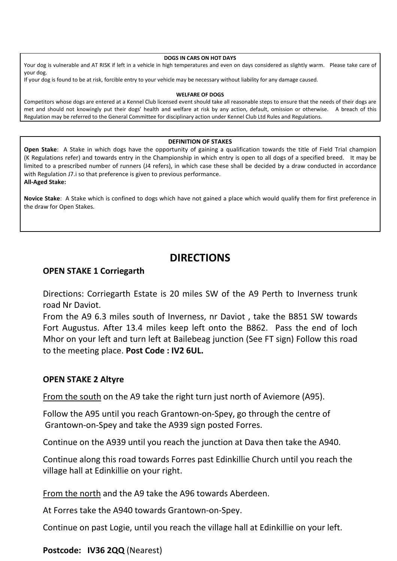#### **DOGS IN CARS ON HOT DAYS**

Your dog is vulnerable and AT RISK if left in a vehicle in high temperatures and even on days considered as slightly warm. Please take care of your dog.

If your dog is found to be at risk, forcible entry to your vehicle may be necessary without liability for any damage caused.

#### **WELFARE OF DOGS**

Competitors whose dogs are entered at a Kennel Club licensed event should take all reasonable steps to ensure that the needs of their dogs are met and should not knowingly put their dogs' health and welfare at risk by any action, default, omission or otherwise. A breach of this Regulation may be referred to the General Committee for disciplinary action under Kennel Club Ltd Rules and Regulations.

#### **DEFINITION OF STAKES**

**Open Stake**: A Stake in which dogs have the opportunity of gaining a qualification towards the title of Field Trial champion (K Regulations refer) and towards entry in the Championship in which entry is open to all dogs of a specified breed. It may be limited to a prescribed number of runners (J4 refers), in which case these shall be decided by a draw conducted in accordance with Regulation J7.i so that preference is given to previous performance. **All-Aged Stake:** 

**Novice Stake**: A Stake which is confined to dogs which have not gained a place which would qualify them for first preference in the draw for Open Stakes.

## **DIRECTIONS**

#### **OPEN STAKE 1 Corriegarth**

Directions: Corriegarth Estate is 20 miles SW of the A9 Perth to Inverness trunk road Nr Daviot.

From the A9 6.3 miles south of Inverness, nr Daviot , take the B851 SW towards Fort Augustus. After 13.4 miles keep left onto the B862. Pass the end of loch Mhor on your left and turn left at Bailebeag junction (See FT sign) Follow this road to the meeting place. **Post Code : IV2 6UL.** 

#### **OPEN STAKE 2 Altyre**

From the south on the A9 take the right turn just north of Aviemore (A95).

Follow the A95 until you reach Grantown-on-Spey, go through the centre of Grantown-on-Spey and take the A939 sign posted Forres.

Continue on the A939 until you reach the junction at Dava then take the A940.

Continue along this road towards Forres past Edinkillie Church until you reach the village hall at Edinkillie on your right.

From the north and the A9 take the A96 towards Aberdeen.

At Forres take the A940 towards Grantown-on-Spey.

Continue on past Logie, until you reach the village hall at Edinkillie on your left.

#### **Postcode: IV36 2QQ** (Nearest)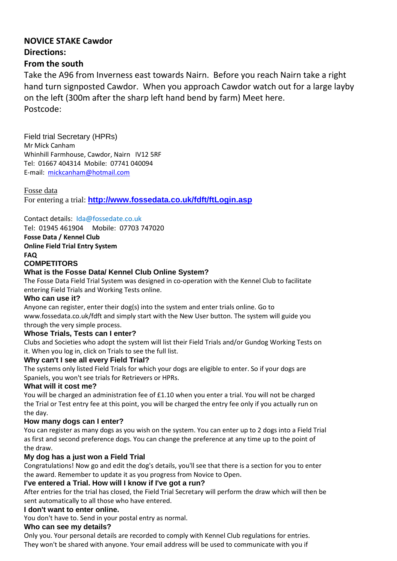## **NOVICE STAKE Cawdor Directions:**

### **From the south**

Take the A96 from Inverness east towards Nairn. Before you reach Nairn take a right hand turn signposted Cawdor. When you approach Cawdor watch out for a large layby on the left (300m after the sharp left hand bend by farm) Meet here. Postcode:

Field trial Secretary (HPRs) Mr Mick Canham Whinhill Farmhouse, Cawdor, Nairn IV12 5RF Tel: 01667 404314 Mobile: 07741 040094 E-mail: mickcanham@hotmail.com

Fosse data For entering a trial: **http://www.fossedata.co.uk/fdft/ftLogin.asp**

Contact details: Ida@fossedate.co.uk Tel: 01945 461904 Mobile: 07703 747020

**Fosse Data / Kennel Club** 

**Online Field Trial Entry System** 

**FAQ** 

### **COMPETITORS**

### **What is the Fosse Data/ Kennel Club Online System?**

The Fosse Data Field Trial System was designed in co-operation with the Kennel Club to facilitate entering Field Trials and Working Tests online.

#### **Who can use it?**

Anyone can register, enter their dog(s) into the system and enter trials online. Go to www.fossedata.co.uk/fdft and simply start with the New User button. The system will guide you through the very simple process.

#### **Whose Trials, Tests can I enter?**

Clubs and Societies who adopt the system will list their Field Trials and/or Gundog Working Tests on it. When you log in, click on Trials to see the full list.

#### **Why can't I see all every Field Trial?**

The systems only listed Field Trials for which your dogs are eligible to enter. So if your dogs are Spaniels, you won't see trials for Retrievers or HPRs.

#### **What will it cost me?**

You will be charged an administration fee of £1.10 when you enter a trial. You will not be charged the Trial or Test entry fee at this point, you will be charged the entry fee only if you actually run on the day.

#### **How many dogs can I enter?**

You can register as many dogs as you wish on the system. You can enter up to 2 dogs into a Field Trial as first and second preference dogs. You can change the preference at any time up to the point of the draw.

#### **My dog has a just won a Field Trial**

Congratulations! Now go and edit the dog's details, you'll see that there is a section for you to enter the award. Remember to update it as you progress from Novice to Open.

#### **I've entered a Trial. How will I know if I've got a run?**

After entries for the trial has closed, the Field Trial Secretary will perform the draw which will then be sent automatically to all those who have entered.

#### **I don't want to enter online.**

You don't have to. Send in your postal entry as normal.

#### **Who can see my details?**

Only you. Your personal details are recorded to comply with Kennel Club regulations for entries. They won't be shared with anyone. Your email address will be used to communicate with you if